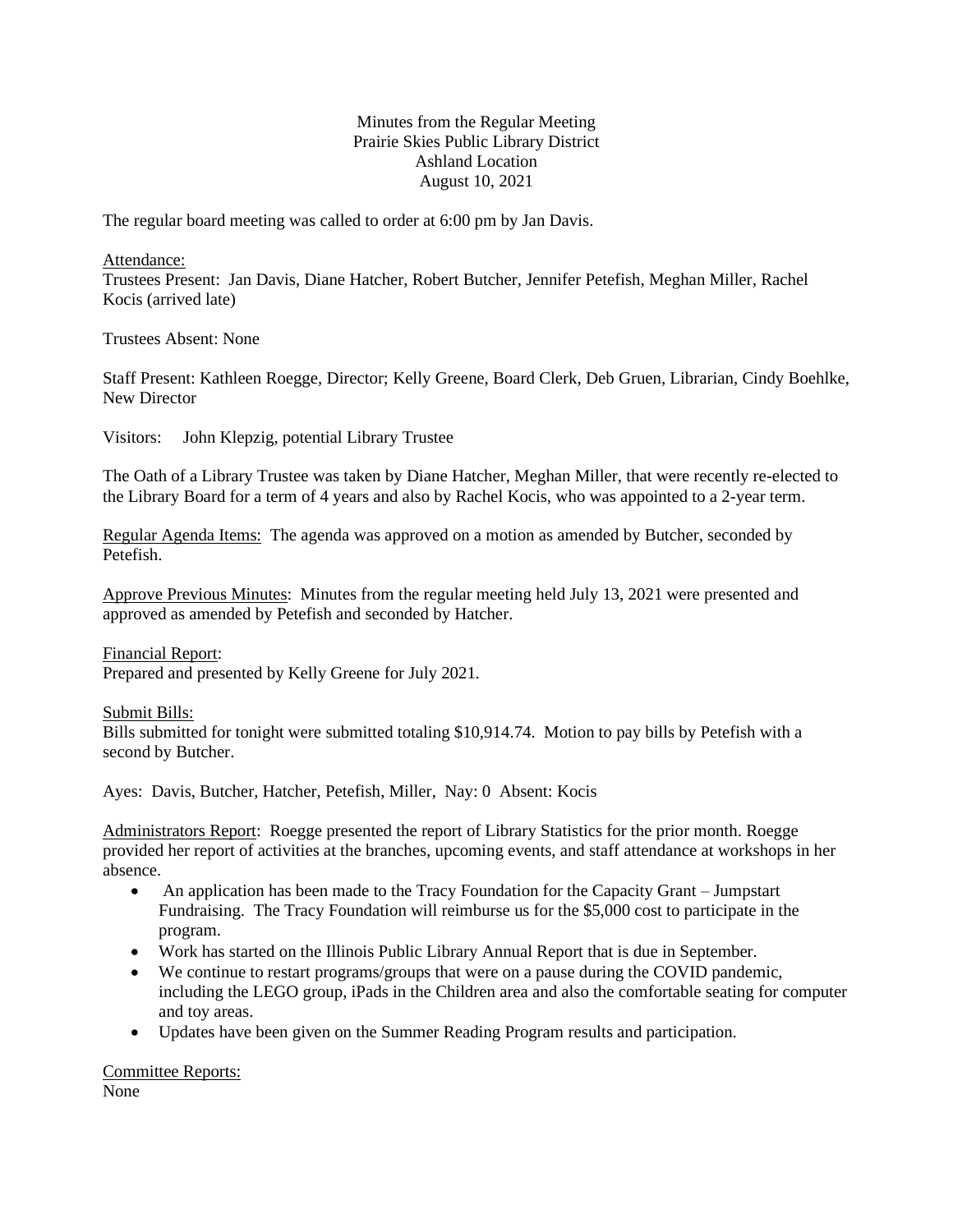# Minutes from the Regular Meeting Prairie Skies Public Library District Ashland Location August 10, 2021

The regular board meeting was called to order at 6:00 pm by Jan Davis.

Attendance:

Trustees Present: Jan Davis, Diane Hatcher, Robert Butcher, Jennifer Petefish, Meghan Miller, Rachel Kocis (arrived late)

Trustees Absent: None

Staff Present: Kathleen Roegge, Director; Kelly Greene, Board Clerk, Deb Gruen, Librarian, Cindy Boehlke, New Director

Visitors: John Klepzig, potential Library Trustee

The Oath of a Library Trustee was taken by Diane Hatcher, Meghan Miller, that were recently re-elected to the Library Board for a term of 4 years and also by Rachel Kocis, who was appointed to a 2-year term.

Regular Agenda Items: The agenda was approved on a motion as amended by Butcher, seconded by Petefish.

Approve Previous Minutes: Minutes from the regular meeting held July 13, 2021 were presented and approved as amended by Petefish and seconded by Hatcher.

Financial Report: Prepared and presented by Kelly Greene for July 2021.

Submit Bills:

Bills submitted for tonight were submitted totaling \$10,914.74. Motion to pay bills by Petefish with a second by Butcher.

Ayes: Davis, Butcher, Hatcher, Petefish, Miller, Nay: 0 Absent: Kocis

Administrators Report: Roegge presented the report of Library Statistics for the prior month. Roegge provided her report of activities at the branches, upcoming events, and staff attendance at workshops in her absence.

- An application has been made to the Tracy Foundation for the Capacity Grant Jumpstart Fundraising. The Tracy Foundation will reimburse us for the \$5,000 cost to participate in the program.
- Work has started on the Illinois Public Library Annual Report that is due in September.
- We continue to restart programs/groups that were on a pause during the COVID pandemic, including the LEGO group, iPads in the Children area and also the comfortable seating for computer and toy areas.
- Updates have been given on the Summer Reading Program results and participation.

Committee Reports: None